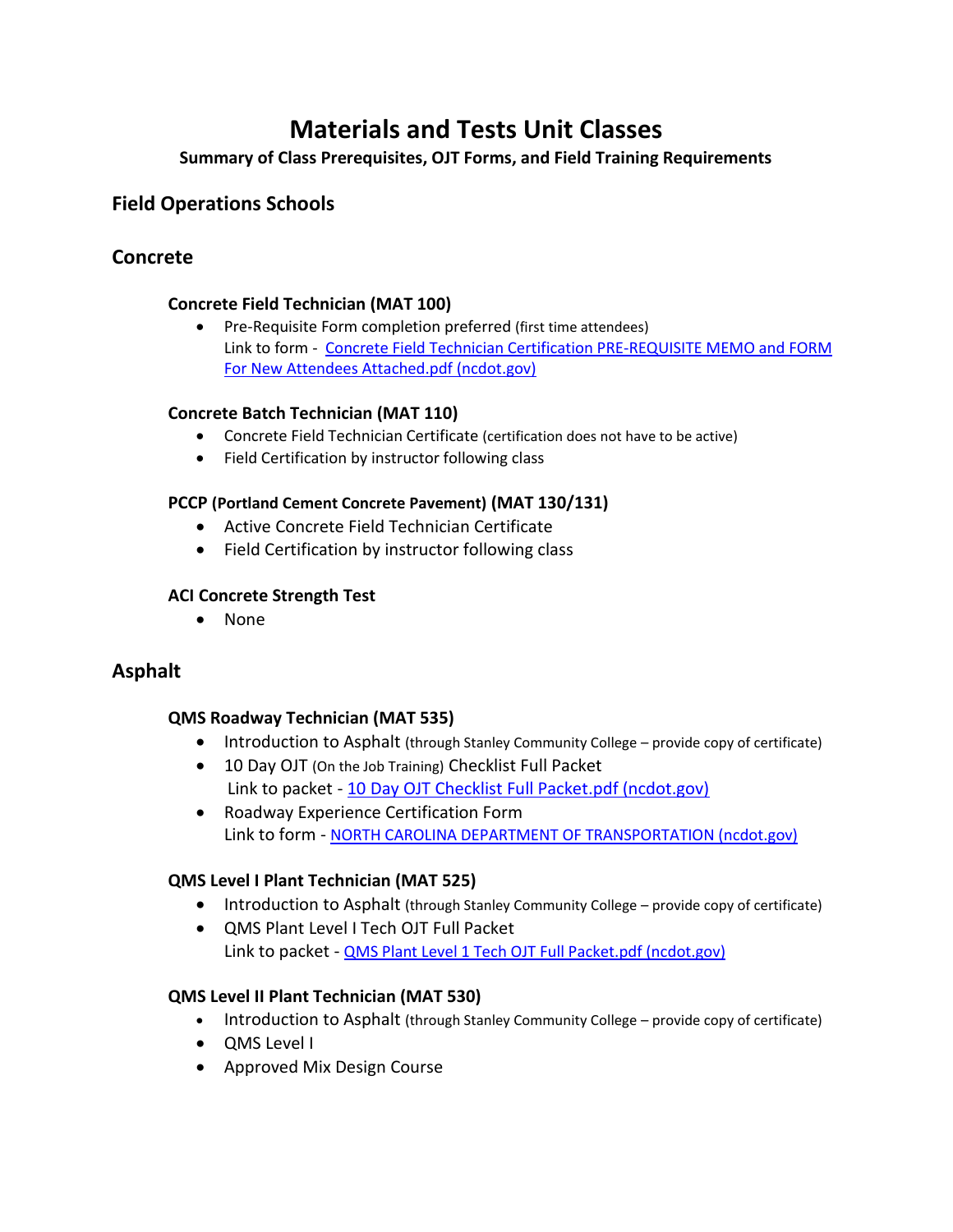# **Materials and Tests Unit Classes**

**Summary of Class Prerequisites, OJT Forms, and Field Training Requirements**

# **Field Operations Schools**

# **Concrete**

## **Concrete Field Technician (MAT 100)**

• Pre-Requisite Form completion preferred (first time attendees) Link to form - [Concrete Field Technician Certification PRE-REQUISITE MEMO and FORM](https://connect.ncdot.gov/resources/Materials/Materials/Concrete%20Field%20Technician%20Certification%20PRE-REQUISITE%20MEMO%20and%20FORM%20For%20New%20Attendees%20Attached.pdf)  [For New Attendees Attached.pdf \(ncdot.gov\)](https://connect.ncdot.gov/resources/Materials/Materials/Concrete%20Field%20Technician%20Certification%20PRE-REQUISITE%20MEMO%20and%20FORM%20For%20New%20Attendees%20Attached.pdf)

#### **Concrete Batch Technician (MAT 110)**

- Concrete Field Technician Certificate (certification does not have to be active)
- Field Certification by instructor following class

#### **PCCP (Portland Cement Concrete Pavement) (MAT 130/131)**

- Active Concrete Field Technician Certificate
- Field Certification by instructor following class

#### **ACI Concrete Strength Test**

• None

# **Asphalt**

#### **QMS Roadway Technician (MAT 535)**

- Introduction to Asphalt (through Stanley Community College provide copy of certificate)
- 10 Day OJT (On the Job Training) Checklist Full Packet Link to packet - [10 Day OJT Checklist Full Packet.pdf \(ncdot.gov\)](https://connect.ncdot.gov/resources/Materials/Materials/10%20Day%20OJT%20Checklist%20Full%20Packet.pdf)
- Roadway Experience Certification Form Link to form - [NORTH CAROLINA DEPARTMENT OF TRANSPORTATION \(ncdot.gov\)](https://connect.ncdot.gov/resources/Materials/Materials/Roadway%20Experience%20Certification%20Form.pdf)

# **QMS Level I Plant Technician (MAT 525)**

- Introduction to Asphalt (through Stanley Community College provide copy of certificate)
- QMS Plant Level I Tech OJT Full Packet Link to packet - QMS Plant Level 1 Tech [OJT Full Packet.pdf \(ncdot.gov\)](https://connect.ncdot.gov/resources/Materials/Materials/QMS%20Plant%20Level%201%20Tech%20OJT%20Full%20Packet.pdf)

# **QMS Level II Plant Technician (MAT 530)**

- Introduction to Asphalt (through Stanley Community College provide copy of certificate)
- QMS Level I
- Approved Mix Design Course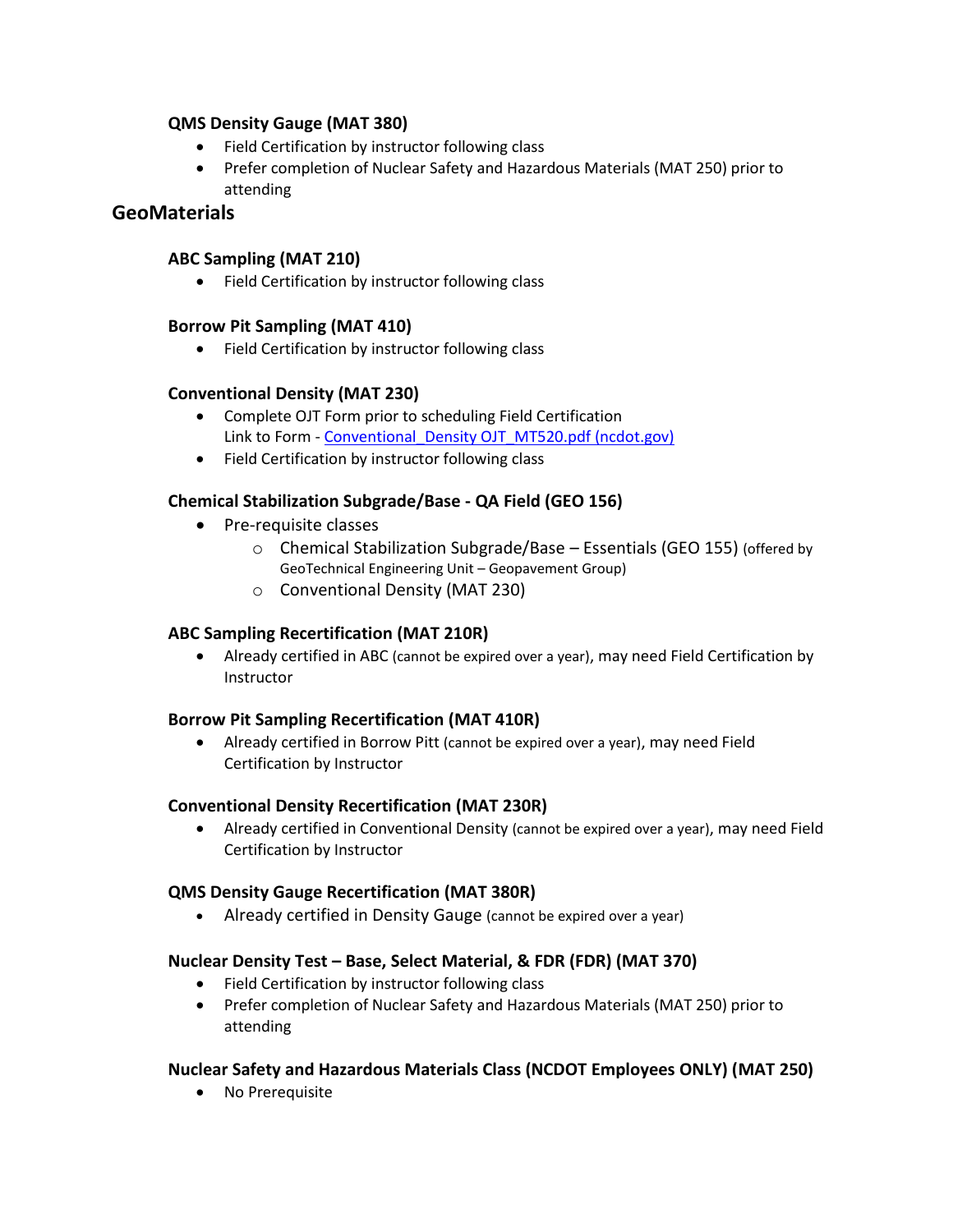#### **QMS Density Gauge (MAT 380)**

- Field Certification by instructor following class
- Prefer completion of Nuclear Safety and Hazardous Materials (MAT 250) prior to attending

# **GeoMaterials**

#### **ABC Sampling (MAT 210)**

• Field Certification by instructor following class

#### **Borrow Pit Sampling (MAT 410)**

• Field Certification by instructor following class

#### **Conventional Density (MAT 230)**

- Complete OJT Form prior to scheduling Field Certification Link to Form - Conventional Density OJT\_MT520.pdf (ncdot.gov)
- Field Certification by instructor following class

# **Chemical Stabilization Subgrade/Base - QA Field (GEO 156)**

- Pre-requisite classes
	- o Chemical Stabilization Subgrade/Base Essentials (GEO 155) (offered by GeoTechnical Engineering Unit – Geopavement Group)
	- o Conventional Density (MAT 230)

# **ABC Sampling Recertification (MAT 210R)**

• Already certified in ABC (cannot be expired over a year), may need Field Certification by Instructor

#### **Borrow Pit Sampling Recertification (MAT 410R)**

• Already certified in Borrow Pitt (cannot be expired over a year), may need Field Certification by Instructor

#### **Conventional Density Recertification (MAT 230R)**

• Already certified in Conventional Density (cannot be expired over a year), may need Field Certification by Instructor

#### **QMS Density Gauge Recertification (MAT 380R)**

• Already certified in Density Gauge (cannot be expired over a year)

#### **Nuclear Density Test – Base, Select Material, & FDR (FDR) (MAT 370)**

- Field Certification by instructor following class
- Prefer completion of Nuclear Safety and Hazardous Materials (MAT 250) prior to attending

#### **Nuclear Safety and Hazardous Materials Class (NCDOT Employees ONLY) (MAT 250)**

• No Prerequisite